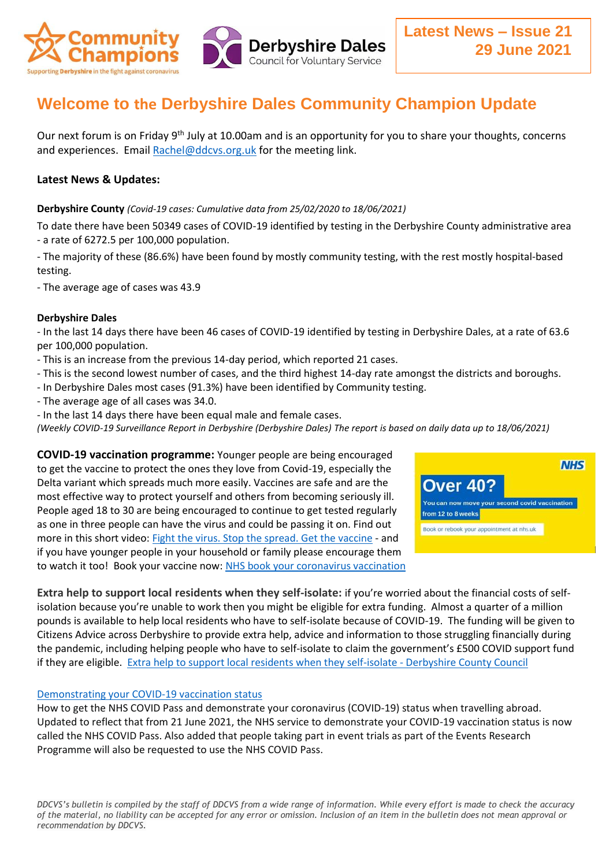

# **Welcome to the Derbyshire Dales Community Champion Update**

Our next forum is on Friday 9<sup>th</sup> July at 10.00am and is an opportunity for you to share your thoughts, concerns and experiences. Email [Rachel@ddcvs.org.uk](mailto:Rachel@ddcvs.org.uk) for the meeting link.

## **Latest News & Updates:**

#### **Derbyshire County** *(Covid-19 cases: Cumulative data from 25/02/2020 to 18/06/2021)*

To date there have been 50349 cases of COVID-19 identified by testing in the Derbyshire County administrative area - a rate of 6272.5 per 100,000 population.

- The majority of these (86.6%) have been found by mostly community testing, with the rest mostly hospital-based testing.

- The average age of cases was 43.9

#### **Derbyshire Dales**

- In the last 14 days there have been 46 cases of COVID-19 identified by testing in Derbyshire Dales, at a rate of 63.6 per 100,000 population.

- This is an increase from the previous 14-day period, which reported 21 cases.
- This is the second lowest number of cases, and the third highest 14-day rate amongst the districts and boroughs.
- In Derbyshire Dales most cases (91.3%) have been identified by Community testing.
- The average age of all cases was 34.0.
- In the last 14 days there have been equal male and female cases.

*(Weekly COVID-19 Surveillance Report in Derbyshire (Derbyshire Dales) The report is based on daily data up to 18/06/2021)*

**COVID-19 vaccination programme:** Younger people are being encouraged to get the vaccine to protect the ones they love from Covid-19, especially the Delta variant which spreads much more easily. Vaccines are safe and are the most effective way to protect yourself and others from becoming seriously ill. People aged 18 to 30 are being encouraged to continue to get tested regularly as one in three people can have the virus and could be passing it on. Find out more in this short video: [Fight the virus. Stop the spread. Get the vaccine](https://lnks.gd/l/eyJhbGciOiJIUzI1NiJ9.eyJidWxsZXRpbl9saW5rX2lkIjoxMDQsInVyaSI6ImJwMjpjbGljayIsImJ1bGxldGluX2lkIjoiMjAyMTA2MjMuNDIyODgwOTEiLCJ1cmwiOiJodHRwczovL3lvdXR1LmJlL2pITlJ0Rk1xNXQ0In0.dbONiDqvx_cNsJeXBY8dtrZfi4v6UgghvX1JMh_Hvlw/s/1109193473/br/108293277641-l) - and if you have younger people in your household or family please encourage them to watch it too! Book your vaccine now: [NHS book your coronavirus vaccination](bhttps://lnks.gd/l/eyJhbGciOiJIUzI1NiJ9.eyJidWxsZXRpbl9saW5rX2lkIjoxMDUsInVyaSI6ImJwMjpjbGljayIsImJ1bGxldGluX2lkIjoiMjAyMTA2MjMuNDIyODgwOTEiLCJ1cmwiOiJodHRwczovL3d3dy5uaHMudWsvY29uZGl0aW9ucy9jb3JvbmF2aXJ1cy1jb3ZpZC0xOS9jb3JvbmF2aXJ1cy12YWNjaW5hdGlvbi8ifQ.4uHXx8fmtiVIFv82DCKO8gb66ddHgU-SPC2_xBstNCM/s/1109193473/br/108293277641-l)



**Extra help to support local residents when they self-isolate:** if you're worried about the financial costs of selfisolation because you're unable to work then you might be eligible for extra funding. Almost a quarter of a million pounds is available to help local residents who have to self-isolate because of COVID-19. The funding will be given to Citizens Advice across Derbyshire to provide extra help, advice and information to those struggling financially during the pandemic, including helping people who have to self-isolate to claim the government's £500 COVID support fund if they are eligible. [Extra help to support local residents when they self-isolate -](https://www.derbyshire.gov.uk/council/news-events/news-updates/news/extra-help-to-support-local-residents-when-they-self-isolate.aspx) Derbyshire County Council

#### [Demonstrating your COVID-19 vaccination status](https://www.gov.uk/guidance/demonstrating-your-covid-19-status)

How to get the NHS COVID Pass and demonstrate your coronavirus (COVID-19) status when travelling abroad. Updated to reflect that from 21 June 2021, the NHS service to demonstrate your COVID-19 vaccination status is now called the NHS COVID Pass. Also added that people taking part in event trials as part of the Events Research Programme will also be requested to use the NHS COVID Pass.

*DDCVS's bulletin is compiled by the staff of DDCVS from a wide range of information. While every effort is made to check the accuracy of the material, no liability can be accepted for any error or omission. Inclusion of an item in the bulletin does not mean approval or recommendation by DDCVS.*